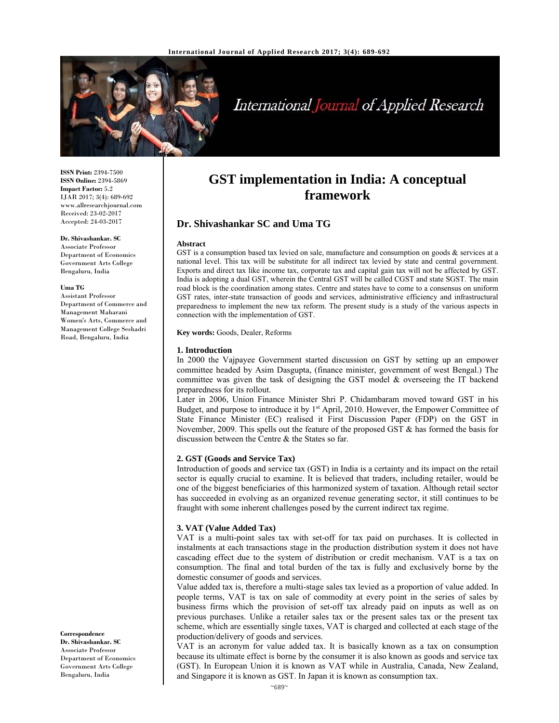

# International Journal of Applied Research

**ISSN Print:** 2394-7500 **ISSN Online:** 2394-5869 **Impact Factor:** 5.2 IJAR 2017; 3(4): 689-692 www.allresearchjournal.com Received: 23-02-2017 Accepted: 24-03-2017

#### **Dr. Shivashankar. SC**

Associate Professor Department of Economics Government Arts College Bengaluru, India

#### **Uma TG**

Assistant Professor Department of Commerce and Management Maharani Women's Arts, Commerce and Management College Seshadri Road, Bengaluru, India

**Correspondence Dr. Shivashankar. SC**  Associate Professor Department of Economics Government Arts College Bengaluru, India

# **GST implementation in India: A conceptual framework**

## **Dr. Shivashankar SC and Uma TG**

#### **Abstract**

GST is a consumption based tax levied on sale, manufacture and consumption on goods & services at a national level. This tax will be substitute for all indirect tax levied by state and central government. Exports and direct tax like income tax, corporate tax and capital gain tax will not be affected by GST. India is adopting a dual GST, wherein the Central GST will be called CGST and state SGST. The main road block is the coordination among states. Centre and states have to come to a consensus on uniform GST rates, inter-state transaction of goods and services, administrative efficiency and infrastructural preparedness to implement the new tax reform. The present study is a study of the various aspects in connection with the implementation of GST.

**Key words:** Goods, Dealer, Reforms

#### **1. Introduction**

In 2000 the Vajpayee Government started discussion on GST by setting up an empower committee headed by Asim Dasgupta, (finance minister, government of west Bengal.) The committee was given the task of designing the GST model & overseeing the IT backend preparedness for its rollout.

Later in 2006, Union Finance Minister Shri P. Chidambaram moved toward GST in his Budget, and purpose to introduce it by  $1<sup>st</sup>$  April, 2010. However, the Empower Committee of State Finance Minister (EC) realised it First Discussion Paper (FDP) on the GST in November, 2009. This spells out the feature of the proposed GST & has formed the basis for discussion between the Centre & the States so far.

#### **2. GST (Goods and Service Tax)**

Introduction of goods and service tax (GST) in India is a certainty and its impact on the retail sector is equally crucial to examine. It is believed that traders, including retailer, would be one of the biggest beneficiaries of this harmonized system of taxation. Although retail sector has succeeded in evolving as an organized revenue generating sector, it still continues to be fraught with some inherent challenges posed by the current indirect tax regime.

#### **3. VAT (Value Added Tax)**

VAT is a multi-point sales tax with set-off for tax paid on purchases. It is collected in instalments at each transactions stage in the production distribution system it does not have cascading effect due to the system of distribution or credit mechanism. VAT is a tax on consumption. The final and total burden of the tax is fully and exclusively borne by the domestic consumer of goods and services.

Value added tax is, therefore a multi-stage sales tax levied as a proportion of value added. In people terms, VAT is tax on sale of commodity at every point in the series of sales by business firms which the provision of set-off tax already paid on inputs as well as on previous purchases. Unlike a retailer sales tax or the present sales tax or the present tax scheme, which are essentially single taxes, VAT is charged and collected at each stage of the production/delivery of goods and services.

VAT is an acronym for value added tax. It is basically known as a tax on consumption because its ultimate effect is borne by the consumer it is also known as goods and service tax (GST). In European Union it is known as VAT while in Australia, Canada, New Zealand, and Singapore it is known as GST. In Japan it is known as consumption tax.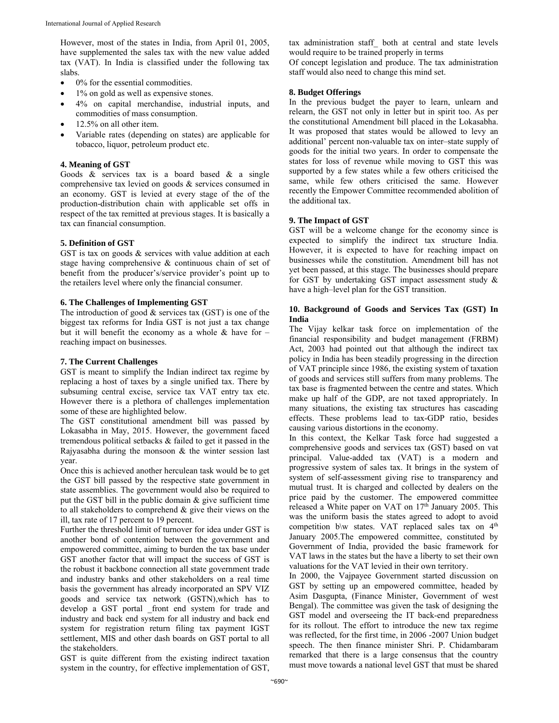However, most of the states in India, from April 01, 2005, have supplemented the sales tax with the new value added tax (VAT). In India is classified under the following tax slabs.

- 0% for the essential commodities.
- 1% on gold as well as expensive stones.
- 4% on capital merchandise, industrial inputs, and commodities of mass consumption.
- 12.5% on all other item.
- Variable rates (depending on states) are applicable for tobacco, liquor, petroleum product etc.

#### **4. Meaning of GST**

Goods & services tax is a board based & a single comprehensive tax levied on goods & services consumed in an economy. GST is levied at every stage of the of the production-distribution chain with applicable set offs in respect of the tax remitted at previous stages. It is basically a tax can financial consumption.

#### **5. Definition of GST**

GST is tax on goods & services with value addition at each stage having comprehensive & continuous chain of set of benefit from the producer's/service provider's point up to the retailers level where only the financial consumer.

#### **6. The Challenges of Implementing GST**

The introduction of good  $&$  services tax (GST) is one of the biggest tax reforms for India GST is not just a tax change but it will benefit the economy as a whole  $&$  have for – reaching impact on businesses.

#### **7. The Current Challenges**

GST is meant to simplify the Indian indirect tax regime by replacing a host of taxes by a single unified tax. There by subsuming central excise, service tax VAT entry tax etc. However there is a plethora of challenges implementation some of these are highlighted below.

The GST constitutional amendment bill was passed by Lokasabha in May, 2015. However, the government faced tremendous political setbacks & failed to get it passed in the Rajyasabha during the monsoon & the winter session last year.

Once this is achieved another herculean task would be to get the GST bill passed by the respective state government in state assemblies. The government would also be required to put the GST bill in the public domain & give sufficient time to all stakeholders to comprehend & give their views on the ill, tax rate of 17 percent to 19 percent.

Further the threshold limit of turnover for idea under GST is another bond of contention between the government and empowered committee, aiming to burden the tax base under GST another factor that will impact the success of GST is the robust it backbone connection all state government trade and industry banks and other stakeholders on a real time basis the government has already incorporated an SPV VIZ goods and service tax network (GSTN),which has to develop a GST portal \_front end system for trade and industry and back end system for all industry and back end system for registration return filing tax payment IGST settlement, MIS and other dash boards on GST portal to all the stakeholders.

GST is quite different from the existing indirect taxation system in the country, for effective implementation of GST,

tax administration staff\_ both at central and state levels would require to be trained properly in terms

Of concept legislation and produce. The tax administration staff would also need to change this mind set.

#### **8. Budget Offerings**

In the previous budget the payer to learn, unlearn and relearn, the GST not only in letter but in spirit too. As per the constitutional Amendment bill placed in the Lokasabha. It was proposed that states would be allowed to levy an additional' percent non-valuable tax on inter–state supply of goods for the initial two years. In order to compensate the states for loss of revenue while moving to GST this was supported by a few states while a few others criticised the same, while few others criticised the same. However recently the Empower Committee recommended abolition of the additional tax.

#### **9. The Impact of GST**

GST will be a welcome change for the economy since is expected to simplify the indirect tax structure India. However, it is expected to have for reaching impact on businesses while the constitution. Amendment bill has not yet been passed, at this stage. The businesses should prepare for GST by undertaking GST impact assessment study & have a high–level plan for the GST transition.

### **10. Background of Goods and Services Tax (GST) In India**

The Vijay kelkar task force on implementation of the financial responsibility and budget management (FRBM) Act, 2003 had pointed out that although the indirect tax policy in India has been steadily progressing in the direction of VAT principle since 1986, the existing system of taxation of goods and services still suffers from many problems. The tax base is fragmented between the centre and states. Which make up half of the GDP, are not taxed appropriately. In many situations, the existing tax structures has cascading effects. These problems lead to tax-GDP ratio, besides causing various distortions in the economy.

In this context, the Kelkar Task force had suggested a comprehensive goods and services tax (GST) based on vat principal. Value-added tax (VAT) is a modern and progressive system of sales tax. It brings in the system of system of self-assessment giving rise to transparency and mutual trust. It is charged and collected by dealers on the price paid by the customer. The empowered committee released a White paper on VAT on 17<sup>th</sup> January 2005. This was the uniform basis the states agreed to adopt to avoid competition b\w states. VAT replaced sales tax on 4<sup>th</sup> January 2005.The empowered committee, constituted by Government of India, provided the basic framework for VAT laws in the states but the have a liberty to set their own valuations for the VAT levied in their own territory.

In 2000, the Vajpayee Government started discussion on GST by setting up an empowered committee, headed by Asim Dasgupta, (Finance Minister, Government of west Bengal). The committee was given the task of designing the GST model and overseeing the IT back-end preparedness for its rollout. The effort to introduce the new tax regime was reflected, for the first time, in 2006 -2007 Union budget speech. The then finance minister Shri. P. Chidambaram remarked that there is a large consensus that the country must move towards a national level GST that must be shared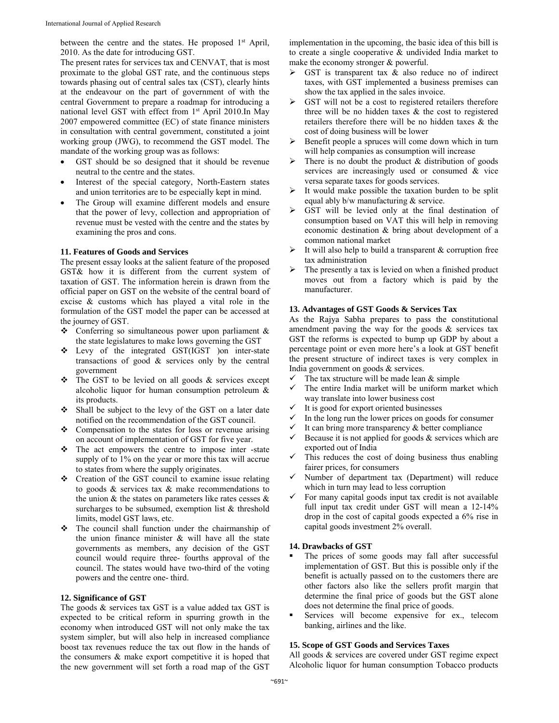between the centre and the states. He proposed 1<sup>st</sup> April, 2010. As the date for introducing GST.

The present rates for services tax and CENVAT, that is most proximate to the global GST rate, and the continuous steps towards phasing out of central sales tax (CST), clearly hints at the endeavour on the part of government of with the central Government to prepare a roadmap for introducing a national level GST with effect from 1<sup>st</sup> April 2010.In May 2007 empowered committee (EC) of state finance ministers in consultation with central government, constituted a joint working group (JWG), to recommend the GST model. The mandate of the working group was as follows:

- GST should be so designed that it should be revenue neutral to the centre and the states.
- Interest of the special category, North-Eastern states and union territories are to be especially kept in mind.
- The Group will examine different models and ensure that the power of levy, collection and appropriation of revenue must be vested with the centre and the states by examining the pros and cons.

#### **11. Features of Goods and Services**

The present essay looks at the salient feature of the proposed GST& how it is different from the current system of taxation of GST. The information herein is drawn from the official paper on GST on the website of the central board of excise & customs which has played a vital role in the formulation of the GST model the paper can be accessed at the journey of GST.

- Conferring so simultaneous power upon parliament & the state legislatures to make lows governing the GST
- Levy of the integrated GST(IGST )on inter-state transactions of good & services only by the central government
- The GST to be levied on all goods & services except alcoholic liquor for human consumption petroleum & its products.
- Shall be subject to the levy of the GST on a later date notified on the recommendation of the GST council.
- ❖ Compensation to the states for loss or revenue arising on account of implementation of GST for five year.
- The act empowers the centre to impose inter -state supply of to 1% on the year or more this tax will accrue to states from where the supply originates.
- ◆ Creation of the GST council to examine issue relating to goods & services tax & make recommendations to the union  $\&$  the states on parameters like rates cesses  $\&$ surcharges to be subsumed, exemption list & threshold limits, model GST laws, etc.
- The council shall function under the chairmanship of the union finance minister  $\&$  will have all the state governments as members, any decision of the GST council would require three- fourths approval of the council. The states would have two-third of the voting powers and the centre one- third.

#### **12. Significance of GST**

The goods  $&$  services tax GST is a value added tax GST is expected to be critical reform in spurring growth in the economy when introduced GST will not only make the tax system simpler, but will also help in increased compliance boost tax revenues reduce the tax out flow in the hands of the consumers & make export competitive it is hoped that the new government will set forth a road map of the GST

implementation in the upcoming, the basic idea of this bill is to create a single cooperative & undivided India market to make the economy stronger & powerful.

- $\triangleright$  GST is transparent tax & also reduce no of indirect taxes, with GST implemented a business premises can show the tax applied in the sales invoice.
- $\triangleright$  GST will not be a cost to registered retailers therefore three will be no hidden taxes & the cost to registered retailers therefore there will be no hidden taxes & the cost of doing business will be lower
- $\triangleright$  Benefit people a spruces will come down which in turn will help companies as consumption will increase
- $\triangleright$  There is no doubt the product & distribution of goods services are increasingly used or consumed & vice versa separate taxes for goods services.
- $\triangleright$  It would make possible the taxation burden to be split equal ably b/w manufacturing & service.
- GST will be levied only at the final destination of consumption based on VAT this will help in removing economic destination & bring about development of a common national market
- It will also help to build a transparent & corruption free tax administration
- $\triangleright$  The presently a tax is levied on when a finished product moves out from a factory which is paid by the manufacturer.

#### **13. Advantages of GST Goods & Services Tax**

As the Rajya Sabha prepares to pass the constitutional amendment paving the way for the goods & services tax GST the reforms is expected to bump up GDP by about a percentage point or even more here's a look at GST benefit the present structure of indirect taxes is very complex in India government on goods & services.

- The tax structure will be made lean & simple  $\checkmark$  The entire India market will be uniform ma
- The entire India market will be uniform market which way translate into lower business cost
- It is good for export oriented businesses
- In the long run the lower prices on goods for consumer
- It can bring more transparency & better compliance
- Because it is not applied for goods & services which are exported out of India
- $\checkmark$  This reduces the cost of doing business thus enabling fairer prices, for consumers
- $\checkmark$  Number of department tax (Department) will reduce which in turn may lead to less corruption
- For many capital goods input tax credit is not available full input tax credit under GST will mean a 12-14% drop in the cost of capital goods expected a 6% rise in capital goods investment 2% overall.

#### **14. Drawbacks of GST**

- The prices of some goods may fall after successful implementation of GST. But this is possible only if the benefit is actually passed on to the customers there are other factors also like the sellers profit margin that determine the final price of goods but the GST alone does not determine the final price of goods.
- Services will become expensive for ex., telecom banking, airlines and the like.

#### **15. Scope of GST Goods and Services Taxes**

All goods & services are covered under GST regime expect Alcoholic liquor for human consumption Tobacco products